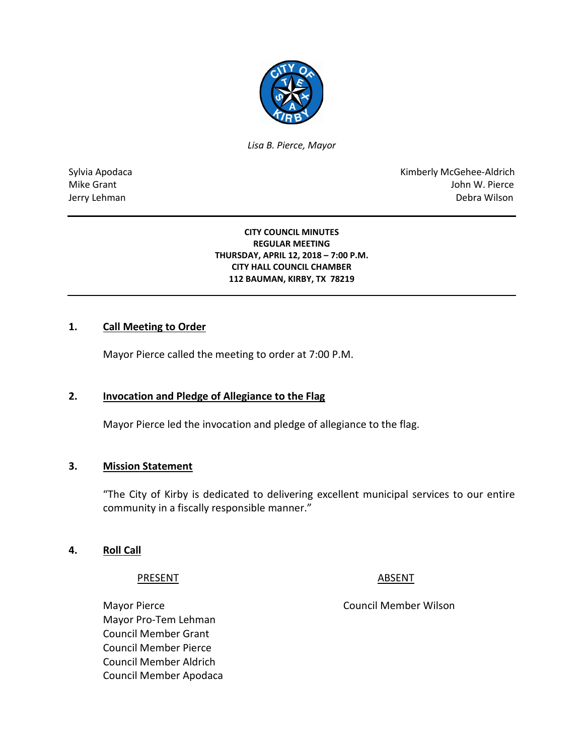

*Lisa B. Pierce, Mayor* 

Sylvia Apodaca National Apodaca Kimberly McGehee-Aldrich Mike Grant John W. Pierce Jerry Lehman Debra Wilson

#### **CITY COUNCIL MINUTES REGULAR MEETING THURSDAY, APRIL 12, 2018 – 7:00 P.M. CITY HALL COUNCIL CHAMBER 112 BAUMAN, KIRBY, TX 78219**

## **1. Call Meeting to Order**

Mayor Pierce called the meeting to order at 7:00 P.M.

#### **2. Invocation and Pledge of Allegiance to the Flag**

Mayor Pierce led the invocation and pledge of allegiance to the flag.

#### **3. Mission Statement**

"The City of Kirby is dedicated to delivering excellent municipal services to our entire community in a fiscally responsible manner."

#### **4. Roll Call**

#### PRESENT ABSENT

Mayor Pierce **Council Member Wilson** Mayor Pro-Tem Lehman Council Member Grant Council Member Pierce Council Member Aldrich Council Member Apodaca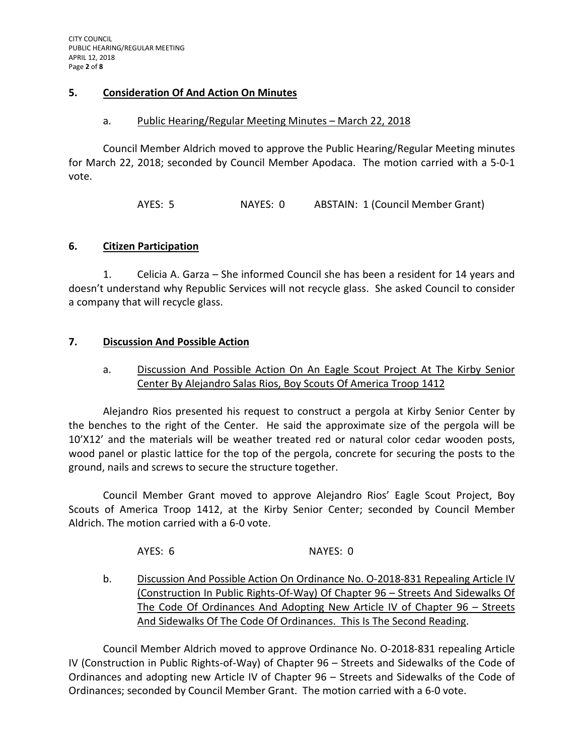### **5. Consideration Of And Action On Minutes**

#### a. Public Hearing/Regular Meeting Minutes - March 22, 2018

Council Member Aldrich moved to approve the Public Hearing/Regular Meeting minutes for March 22, 2018; seconded by Council Member Apodaca. The motion carried with a 5-0-1 vote.

AYES: 5 NAYES: 0 ABSTAIN: 1 (Council Member Grant)

## **6. Citizen Participation**

1. Celicia A. Garza – She informed Council she has been a resident for 14 years and doesn't understand why Republic Services will not recycle glass. She asked Council to consider a company that will recycle glass.

## **7. Discussion And Possible Action**

# a. Discussion And Possible Action On An Eagle Scout Project At The Kirby Senior Center By Alejandro Salas Rios, Boy Scouts Of America Troop 1412

Alejandro Rios presented his request to construct a pergola at Kirby Senior Center by the benches to the right of the Center. He said the approximate size of the pergola will be 10'X12' and the materials will be weather treated red or natural color cedar wooden posts, wood panel or plastic lattice for the top of the pergola, concrete for securing the posts to the ground, nails and screws to secure the structure together.

Council Member Grant moved to approve Alejandro Rios' Eagle Scout Project, Boy Scouts of America Troop 1412, at the Kirby Senior Center; seconded by Council Member Aldrich. The motion carried with a 6-0 vote.

AYES: 6 NAYES: 0

b. Discussion And Possible Action On Ordinance No. O-2018-831 Repealing Article IV (Construction In Public Rights-Of-Way) Of Chapter 96 – Streets And Sidewalks Of The Code Of Ordinances And Adopting New Article IV of Chapter 96 – Streets And Sidewalks Of The Code Of Ordinances. This Is The Second Reading.

Council Member Aldrich moved to approve Ordinance No. O-2018-831 repealing Article IV (Construction in Public Rights-of-Way) of Chapter 96 – Streets and Sidewalks of the Code of Ordinances and adopting new Article IV of Chapter 96 – Streets and Sidewalks of the Code of Ordinances; seconded by Council Member Grant. The motion carried with a 6-0 vote.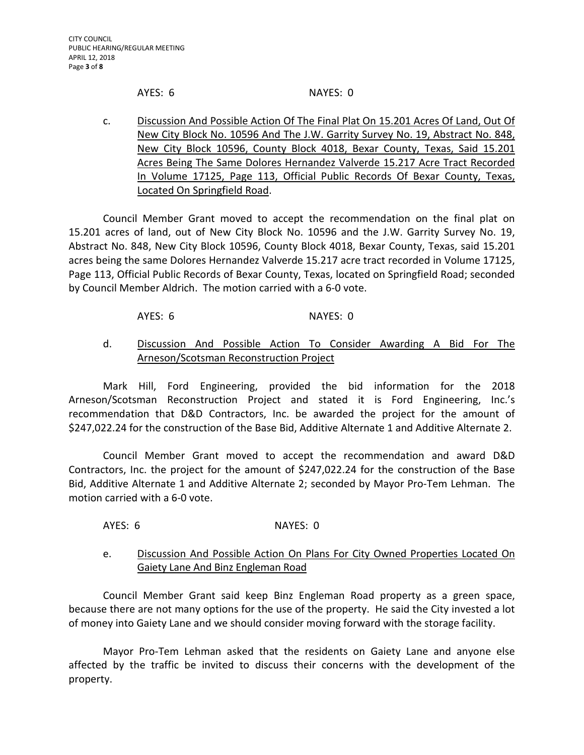#### AYES: 6 NAYES: 0

- 
- c. Discussion And Possible Action Of The Final Plat On 15.201 Acres Of Land, Out Of New City Block No. 10596 And The J.W. Garrity Survey No. 19, Abstract No. 848, New City Block 10596, County Block 4018, Bexar County, Texas, Said 15.201 Acres Being The Same Dolores Hernandez Valverde 15.217 Acre Tract Recorded In Volume 17125, Page 113, Official Public Records Of Bexar County, Texas, Located On Springfield Road.

Council Member Grant moved to accept the recommendation on the final plat on 15.201 acres of land, out of New City Block No. 10596 and the J.W. Garrity Survey No. 19, Abstract No. 848, New City Block 10596, County Block 4018, Bexar County, Texas, said 15.201 acres being the same Dolores Hernandez Valverde 15.217 acre tract recorded in Volume 17125, Page 113, Official Public Records of Bexar County, Texas, located on Springfield Road; seconded by Council Member Aldrich. The motion carried with a 6-0 vote.

### AYES: 6 NAYES: 0

# d. Discussion And Possible Action To Consider Awarding A Bid For The Arneson/Scotsman Reconstruction Project

Mark Hill, Ford Engineering, provided the bid information for the 2018 Arneson/Scotsman Reconstruction Project and stated it is Ford Engineering, Inc.'s recommendation that D&D Contractors, Inc. be awarded the project for the amount of \$247,022.24 for the construction of the Base Bid, Additive Alternate 1 and Additive Alternate 2.

Council Member Grant moved to accept the recommendation and award D&D Contractors, Inc. the project for the amount of \$247,022.24 for the construction of the Base Bid, Additive Alternate 1 and Additive Alternate 2; seconded by Mayor Pro-Tem Lehman. The motion carried with a 6-0 vote.

AYES: 6 NAYES: 0

# e. Discussion And Possible Action On Plans For City Owned Properties Located On Gaiety Lane And Binz Engleman Road

Council Member Grant said keep Binz Engleman Road property as a green space, because there are not many options for the use of the property. He said the City invested a lot of money into Gaiety Lane and we should consider moving forward with the storage facility.

Mayor Pro-Tem Lehman asked that the residents on Gaiety Lane and anyone else affected by the traffic be invited to discuss their concerns with the development of the property.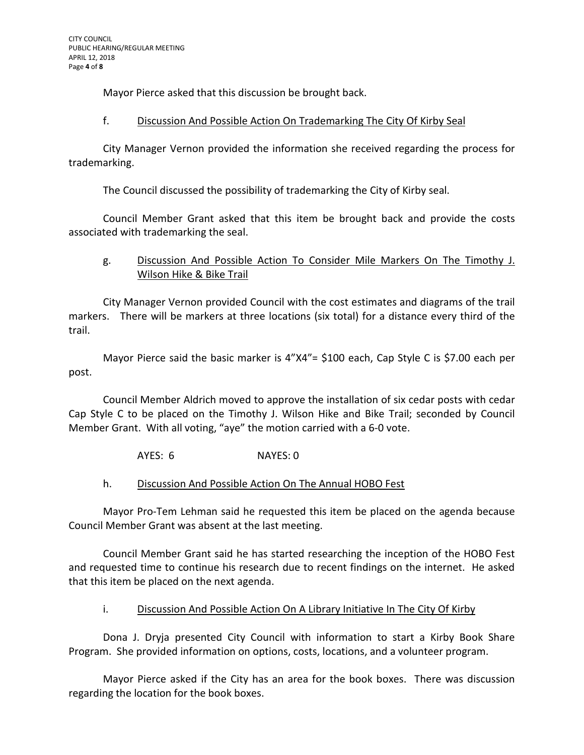Mayor Pierce asked that this discussion be brought back.

## f. Discussion And Possible Action On Trademarking The City Of Kirby Seal

City Manager Vernon provided the information she received regarding the process for trademarking.

The Council discussed the possibility of trademarking the City of Kirby seal.

Council Member Grant asked that this item be brought back and provide the costs associated with trademarking the seal.

# g. Discussion And Possible Action To Consider Mile Markers On The Timothy J. Wilson Hike & Bike Trail

City Manager Vernon provided Council with the cost estimates and diagrams of the trail markers. There will be markers at three locations (six total) for a distance every third of the trail.

Mayor Pierce said the basic marker is 4"X4"= \$100 each, Cap Style C is \$7.00 each per post.

Council Member Aldrich moved to approve the installation of six cedar posts with cedar Cap Style C to be placed on the Timothy J. Wilson Hike and Bike Trail; seconded by Council Member Grant. With all voting, "aye" the motion carried with a 6-0 vote.

AYES: 6 NAYES: 0

# h. Discussion And Possible Action On The Annual HOBO Fest

Mayor Pro-Tem Lehman said he requested this item be placed on the agenda because Council Member Grant was absent at the last meeting.

Council Member Grant said he has started researching the inception of the HOBO Fest and requested time to continue his research due to recent findings on the internet. He asked that this item be placed on the next agenda.

# i. Discussion And Possible Action On A Library Initiative In The City Of Kirby

Dona J. Dryja presented City Council with information to start a Kirby Book Share Program. She provided information on options, costs, locations, and a volunteer program.

Mayor Pierce asked if the City has an area for the book boxes. There was discussion regarding the location for the book boxes.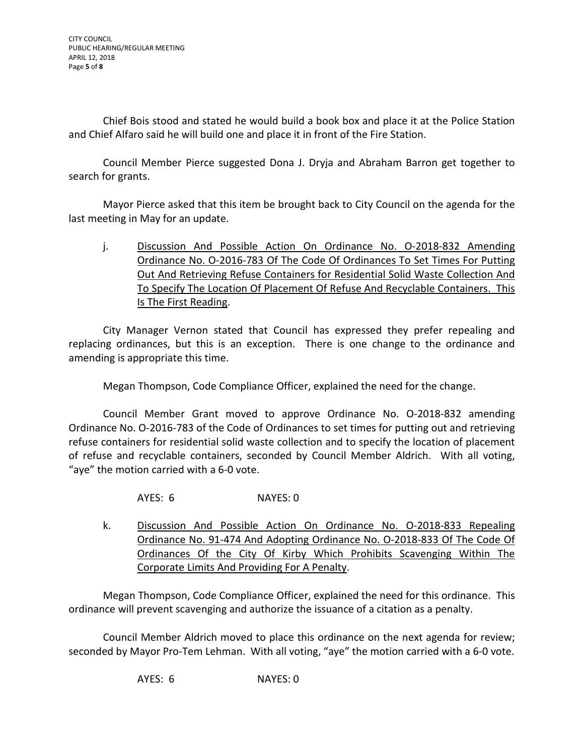CITY COUNCIL PUBLIC HEARING/REGULAR MEETING APRIL 12, 2018 Page **5** of **8**

Chief Bois stood and stated he would build a book box and place it at the Police Station and Chief Alfaro said he will build one and place it in front of the Fire Station.

Council Member Pierce suggested Dona J. Dryja and Abraham Barron get together to search for grants.

Mayor Pierce asked that this item be brought back to City Council on the agenda for the last meeting in May for an update.

j. Discussion And Possible Action On Ordinance No. 0-2018-832 Amending Ordinance No. O-2016-783 Of The Code Of Ordinances To Set Times For Putting Out And Retrieving Refuse Containers for Residential Solid Waste Collection And To Specify The Location Of Placement Of Refuse And Recyclable Containers. This Is The First Reading.

City Manager Vernon stated that Council has expressed they prefer repealing and replacing ordinances, but this is an exception. There is one change to the ordinance and amending is appropriate this time.

Megan Thompson, Code Compliance Officer, explained the need for the change.

Council Member Grant moved to approve Ordinance No. O-2018-832 amending Ordinance No. O-2016-783 of the Code of Ordinances to set times for putting out and retrieving refuse containers for residential solid waste collection and to specify the location of placement of refuse and recyclable containers, seconded by Council Member Aldrich. With all voting, "aye" the motion carried with a 6-0 vote.

AYES: 6 NAYES: 0

k. Discussion And Possible Action On Ordinance No. O-2018-833 Repealing Ordinance No. 91-474 And Adopting Ordinance No. O-2018-833 Of The Code Of Ordinances Of the City Of Kirby Which Prohibits Scavenging Within The Corporate Limits And Providing For A Penalty.

Megan Thompson, Code Compliance Officer, explained the need for this ordinance. This ordinance will prevent scavenging and authorize the issuance of a citation as a penalty.

Council Member Aldrich moved to place this ordinance on the next agenda for review; seconded by Mayor Pro-Tem Lehman. With all voting, "aye" the motion carried with a 6-0 vote.

AYES: 6 NAYES: 0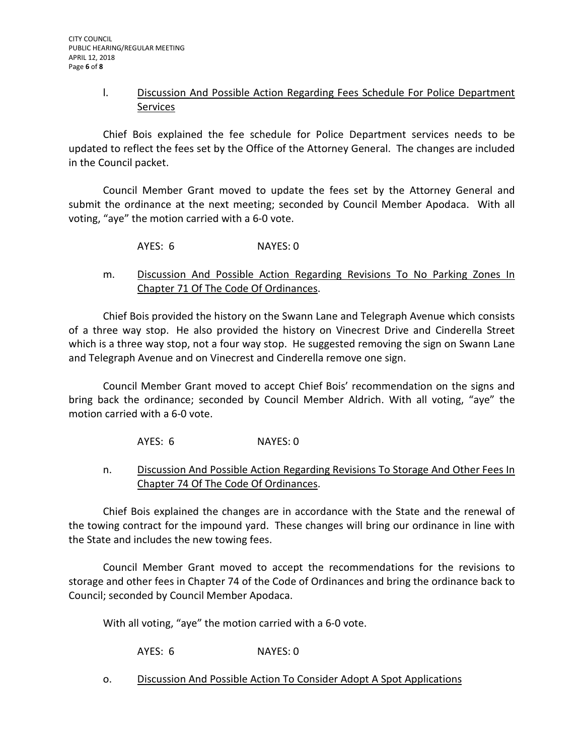## l. Discussion And Possible Action Regarding Fees Schedule For Police Department Services

Chief Bois explained the fee schedule for Police Department services needs to be updated to reflect the fees set by the Office of the Attorney General. The changes are included in the Council packet.

Council Member Grant moved to update the fees set by the Attorney General and submit the ordinance at the next meeting; seconded by Council Member Apodaca. With all voting, "aye" the motion carried with a 6-0 vote.

AYES: 6 NAYES: 0

# m. Discussion And Possible Action Regarding Revisions To No Parking Zones In Chapter 71 Of The Code Of Ordinances.

Chief Bois provided the history on the Swann Lane and Telegraph Avenue which consists of a three way stop. He also provided the history on Vinecrest Drive and Cinderella Street which is a three way stop, not a four way stop. He suggested removing the sign on Swann Lane and Telegraph Avenue and on Vinecrest and Cinderella remove one sign.

Council Member Grant moved to accept Chief Bois' recommendation on the signs and bring back the ordinance; seconded by Council Member Aldrich. With all voting, "aye" the motion carried with a 6-0 vote.

AYES: 6 NAYES: 0

n. Discussion And Possible Action Regarding Revisions To Storage And Other Fees In Chapter 74 Of The Code Of Ordinances.

Chief Bois explained the changes are in accordance with the State and the renewal of the towing contract for the impound yard. These changes will bring our ordinance in line with the State and includes the new towing fees.

Council Member Grant moved to accept the recommendations for the revisions to storage and other fees in Chapter 74 of the Code of Ordinances and bring the ordinance back to Council; seconded by Council Member Apodaca.

With all voting, "aye" the motion carried with a 6-0 vote.

AYES: 6 NAYES: 0

o. Discussion And Possible Action To Consider Adopt A Spot Applications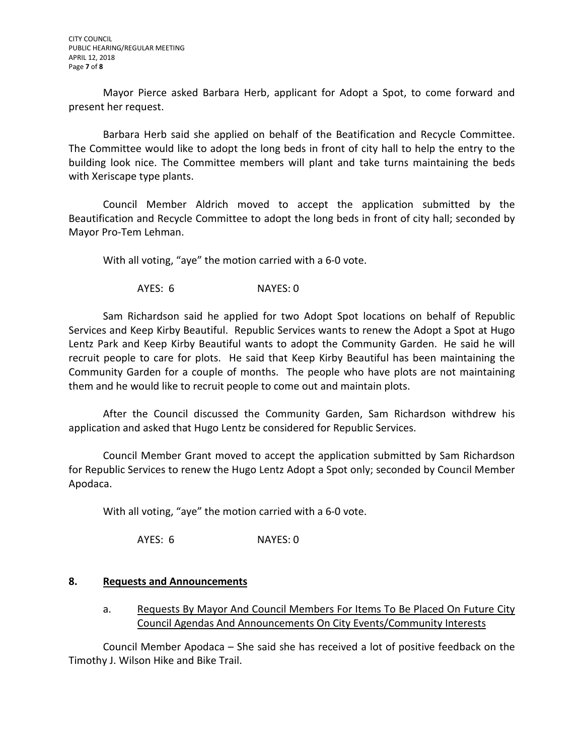Mayor Pierce asked Barbara Herb, applicant for Adopt a Spot, to come forward and present her request.

Barbara Herb said she applied on behalf of the Beatification and Recycle Committee. The Committee would like to adopt the long beds in front of city hall to help the entry to the building look nice. The Committee members will plant and take turns maintaining the beds with Xeriscape type plants.

Council Member Aldrich moved to accept the application submitted by the Beautification and Recycle Committee to adopt the long beds in front of city hall; seconded by Mayor Pro-Tem Lehman.

With all voting, "aye" the motion carried with a 6-0 vote.

AYES: 6 NAYES: 0

Sam Richardson said he applied for two Adopt Spot locations on behalf of Republic Services and Keep Kirby Beautiful. Republic Services wants to renew the Adopt a Spot at Hugo Lentz Park and Keep Kirby Beautiful wants to adopt the Community Garden. He said he will recruit people to care for plots. He said that Keep Kirby Beautiful has been maintaining the Community Garden for a couple of months. The people who have plots are not maintaining them and he would like to recruit people to come out and maintain plots.

After the Council discussed the Community Garden, Sam Richardson withdrew his application and asked that Hugo Lentz be considered for Republic Services.

Council Member Grant moved to accept the application submitted by Sam Richardson for Republic Services to renew the Hugo Lentz Adopt a Spot only; seconded by Council Member Apodaca.

With all voting, "aye" the motion carried with a 6-0 vote.

AYES: 6 NAYES: 0

### **8. Requests and Announcements**

a. Requests By Mayor And Council Members For Items To Be Placed On Future City Council Agendas And Announcements On City Events/Community Interests

Council Member Apodaca – She said she has received a lot of positive feedback on the Timothy J. Wilson Hike and Bike Trail.